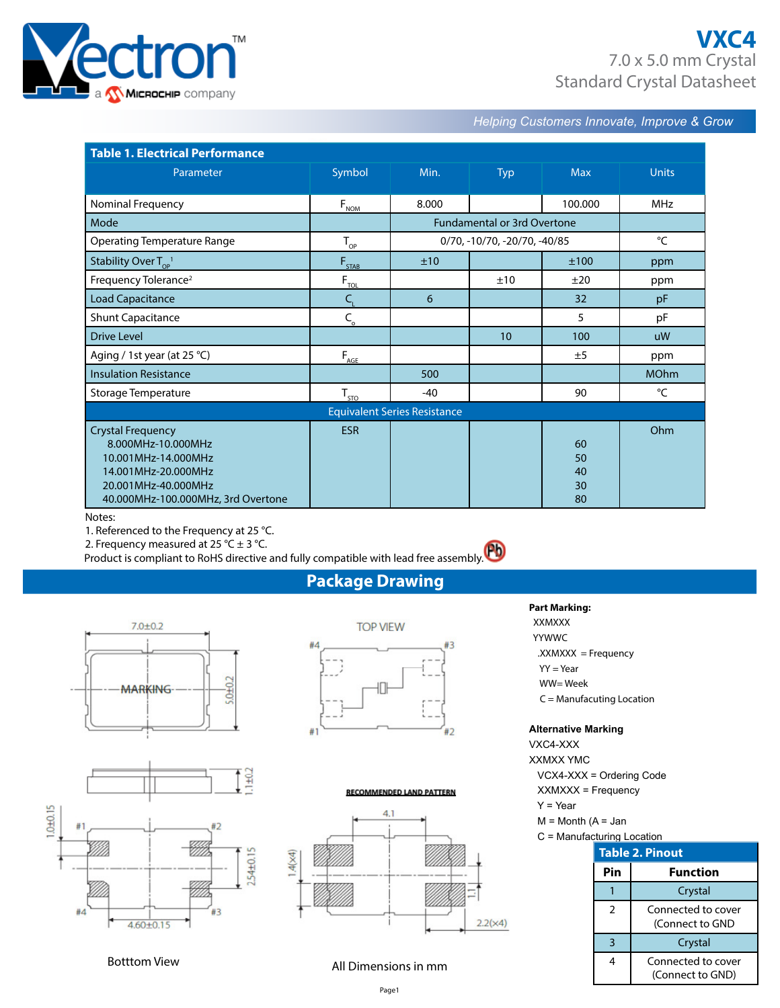

## **VXC4** 7.0 x 5.0 mm Crystal Standard Crystal Datasheet

*Helping Customers Innovate, Improve & Grow* 

| <b>Table 1. Electrical Performance</b>     |                              |       |                                    |            |              |  |  |  |
|--------------------------------------------|------------------------------|-------|------------------------------------|------------|--------------|--|--|--|
| Parameter                                  | Symbol                       | Min.  | <b>Typ</b>                         | <b>Max</b> | <b>Units</b> |  |  |  |
| Nominal Frequency                          |                              | 8.000 |                                    | 100.000    | <b>MHz</b>   |  |  |  |
|                                            | $F_{NOM}$                    |       |                                    |            |              |  |  |  |
| Mode                                       |                              |       | <b>Fundamental or 3rd Overtone</b> |            |              |  |  |  |
| <b>Operating Temperature Range</b>         | $T_{\text{QP}}$              |       | 0/70, -10/70, -20/70, -40/85       |            | °C           |  |  |  |
| Stability Over $T_{\text{OP}}^{-1}$        | $F_{STAB}$                   | ±10   |                                    | ±100       | ppm          |  |  |  |
| Frequency Tolerance <sup>2</sup>           | $F_{\underline{\text{TOL}}}$ |       | ±10                                | ±20        | ppm          |  |  |  |
| <b>Load Capacitance</b>                    | $C_{\rm L}$                  | 6     |                                    | 32         | pF           |  |  |  |
| <b>Shunt Capacitance</b>                   | $C_{\circ}$                  |       |                                    | 5          | pF           |  |  |  |
| <b>Drive Level</b>                         |                              |       | 10                                 | 100        | uW           |  |  |  |
| Aging / 1st year (at 25 °C)                | $F_{\underline{AGE}}$        |       |                                    | ±5         | ppm          |  |  |  |
| <b>Insulation Resistance</b>               |                              | 500   |                                    |            | <b>MOhm</b>  |  |  |  |
| Storage Temperature                        | $T_{\text{SD}}$              | $-40$ |                                    | 90         | °C           |  |  |  |
| <b>Equivalent Series Resistance</b>        |                              |       |                                    |            |              |  |  |  |
| <b>Crystal Frequency</b>                   | <b>ESR</b>                   |       |                                    |            | Ohm          |  |  |  |
| 8.000MHz-10.000MHz                         |                              |       |                                    | 60<br>50   |              |  |  |  |
| 10.001MHz-14.000MHz<br>14.001MHz-20.000MHz |                              |       |                                    | 40         |              |  |  |  |
| 20.001MHz-40.000MHz                        |                              |       |                                    | 30         |              |  |  |  |
| 40.000MHz-100.000MHz, 3rd Overtone         |                              |       |                                    | 80         |              |  |  |  |

#### Notes:

1. Referenced to the Frequency at 25 °C.

2. Frequency measured at 25 °C  $\pm$  3 °C.

Product is compliant to RoHS directive and fully compatible with lead free assembly.

## **Package Drawing**





#### **RECOMMENDED LAND PATTERN**



**Part Marking:**  XXMXXX

 YYWWC .XXMXXX = Frequency  $YY = Year$ WW= Week

C = Manufacuting Location

#### **Alternative Marking**

VXC4-XXX XXMXX YMC VCX4-XXX = Ordering Code XXMXXX = Frequency Y = Year

- $M =$  Month  $(A =$  Jan
- C = Manufacturing Location

| <b>Table 2. Pinout</b> |                                        |  |  |  |  |  |
|------------------------|----------------------------------------|--|--|--|--|--|
| Pin                    | <b>Function</b>                        |  |  |  |  |  |
|                        | Crystal                                |  |  |  |  |  |
| $\mathcal{P}$          | Connected to cover<br>(Connect to GND  |  |  |  |  |  |
| 3                      | Crystal                                |  |  |  |  |  |
| 4                      | Connected to cover<br>(Connect to GND) |  |  |  |  |  |

## Botttom View **All Dimensions in mm**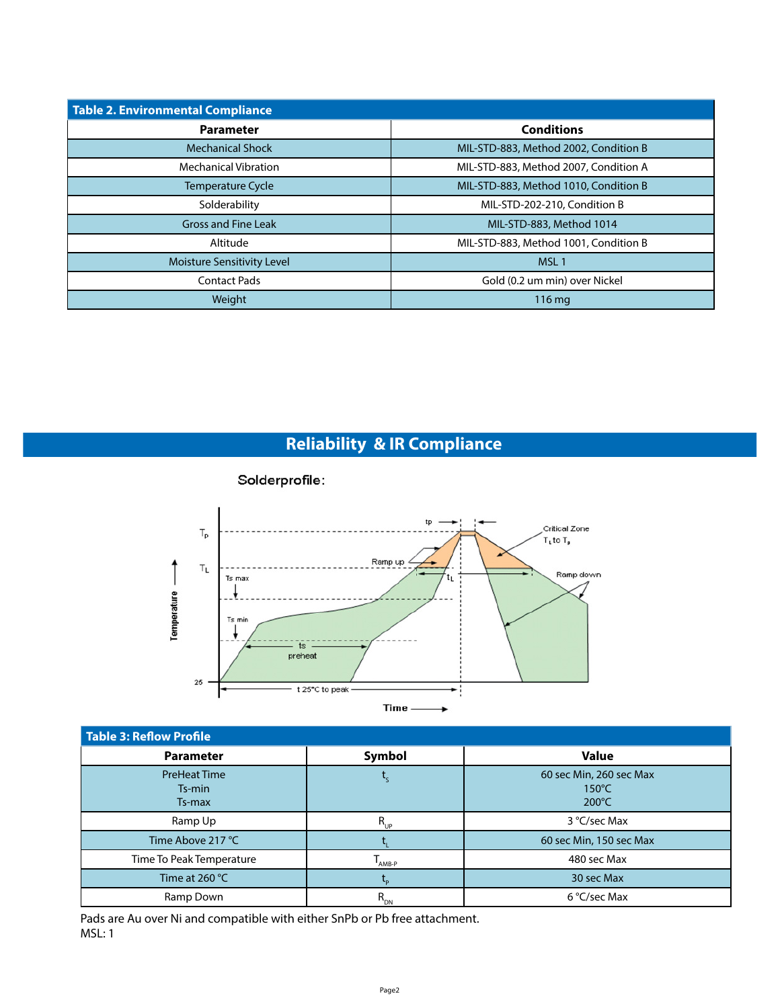| <b>Table 2. Environmental Compliance</b> |                                       |  |  |  |  |  |
|------------------------------------------|---------------------------------------|--|--|--|--|--|
| <b>Parameter</b>                         | <b>Conditions</b>                     |  |  |  |  |  |
| <b>Mechanical Shock</b>                  | MIL-STD-883, Method 2002, Condition B |  |  |  |  |  |
| <b>Mechanical Vibration</b>              | MIL-STD-883, Method 2007, Condition A |  |  |  |  |  |
| <b>Temperature Cycle</b>                 | MIL-STD-883, Method 1010, Condition B |  |  |  |  |  |
| Solderability                            | MIL-STD-202-210, Condition B          |  |  |  |  |  |
| <b>Gross and Fine Leak</b>               | MIL-STD-883, Method 1014              |  |  |  |  |  |
| Altitude                                 | MIL-STD-883, Method 1001, Condition B |  |  |  |  |  |
| <b>Moisture Sensitivity Level</b>        | MSL <sub>1</sub>                      |  |  |  |  |  |
| <b>Contact Pads</b>                      | Gold (0.2 um min) over Nickel         |  |  |  |  |  |
| Weight                                   | $116 \,\mathrm{mg}$                   |  |  |  |  |  |

# **Reliability & IR Compliance**



| <b>Table 3: Reflow Profile</b>          |             |                                                               |  |  |  |  |  |  |
|-----------------------------------------|-------------|---------------------------------------------------------------|--|--|--|--|--|--|
| <b>Parameter</b>                        | Symbol      | <b>Value</b>                                                  |  |  |  |  |  |  |
| <b>PreHeat Time</b><br>Ts-min<br>Ts-max |             | 60 sec Min, 260 sec Max<br>$150^{\circ}$ C<br>$200^{\circ}$ C |  |  |  |  |  |  |
| Ramp Up                                 | $R_{_{UP}}$ | 3 °C/sec Max                                                  |  |  |  |  |  |  |
| Time Above 217 °C                       |             | 60 sec Min, 150 sec Max                                       |  |  |  |  |  |  |
| Time To Peak Temperature                | AMB-P       | 480 sec Max                                                   |  |  |  |  |  |  |
| Time at 260 $^{\circ}$ C                |             | 30 sec Max                                                    |  |  |  |  |  |  |
| Ramp Down                               | $R_{_{DN}}$ | 6 °C/sec Max                                                  |  |  |  |  |  |  |

Pads are Au over Ni and compatible with either SnPb or Pb free attachment. MSL: 1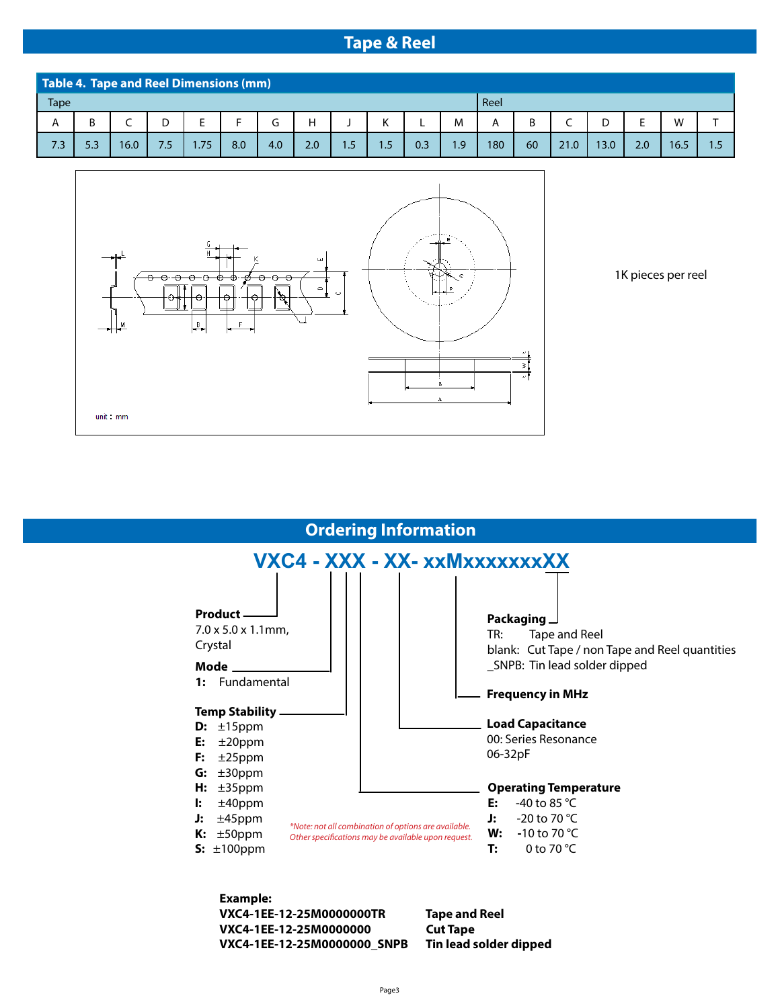### **Tape & Reel**

| Table 4. Tape and Reel Dimensions (mm) |     |      |               |      |     |     |     |     |     |     |                 |      |    |      |      |     |      |     |
|----------------------------------------|-----|------|---------------|------|-----|-----|-----|-----|-----|-----|-----------------|------|----|------|------|-----|------|-----|
| <b>Tape</b>                            |     |      |               |      |     |     |     |     |     |     |                 | Reel |    |      |      |     |      |     |
| А                                      | В   |      |               |      |     |     |     |     |     |     | M               | A    | D  |      |      |     | W    |     |
| 7.3                                    | 5.3 | 16.0 | $7.5^{\circ}$ | .75/ | 8.0 | 4.0 | 2.0 | 1.5 | 1.5 | 0.3 | .9 <sub>2</sub> | 180  | 60 | 21.0 | 13.0 | 2.0 | 16.5 | 1.5 |



1K pieces per reel



#### **Example: VXC4-1EE-12-25M0000000TR Tape and Reel VXC4-1EE-12-25M0000000 Cut Tape VXC4-1EE-12-25M0000000\_SNPB Tin lead solder dipped**